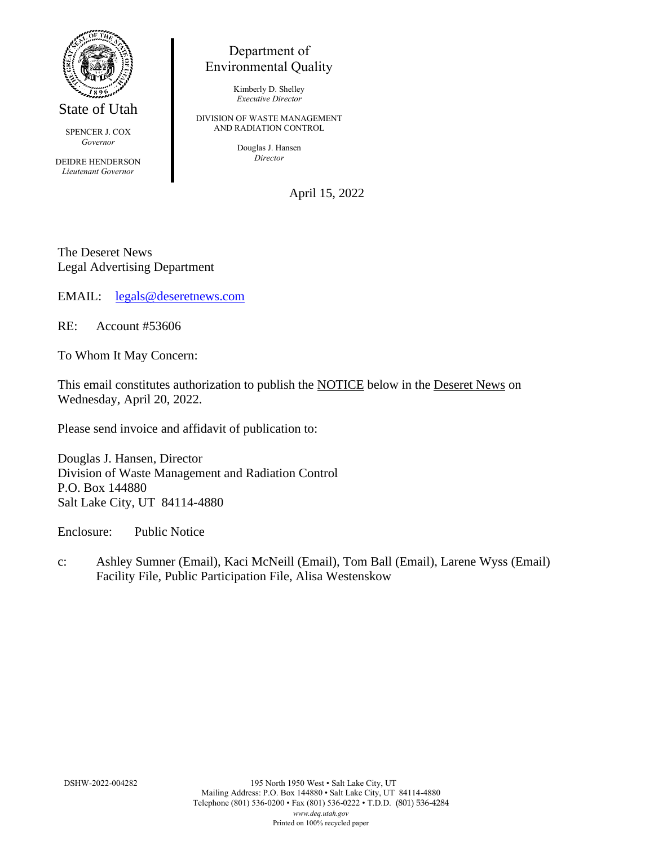

State of Utah

SPENCER J. COX *Governor*

DEIDRE HENDERSON *Lieutenant Governor*

## Department of Environmental Quality

Kimberly D. Shelley *Executive Director*

DIVISION OF WASTE MANAGEMENT AND RADIATION CONTROL

> Douglas J. Hansen *Director*

> > April 15, 2022

The Deseret News Legal Advertising Department

EMAIL: [legals@deseretnews.com](mailto:legals@deseretnews.com)

RE: Account #53606

To Whom It May Concern:

This email constitutes authorization to publish the NOTICE below in the Deseret News on Wednesday, April 20, 2022.

Please send invoice and affidavit of publication to:

Douglas J. Hansen, Director Division of Waste Management and Radiation Control P.O. Box 144880 Salt Lake City, UT 84114-4880

Enclosure: Public Notice

c: Ashley Sumner (Email), Kaci McNeill (Email), Tom Ball (Email), Larene Wyss (Email) Facility File, Public Participation File, Alisa Westenskow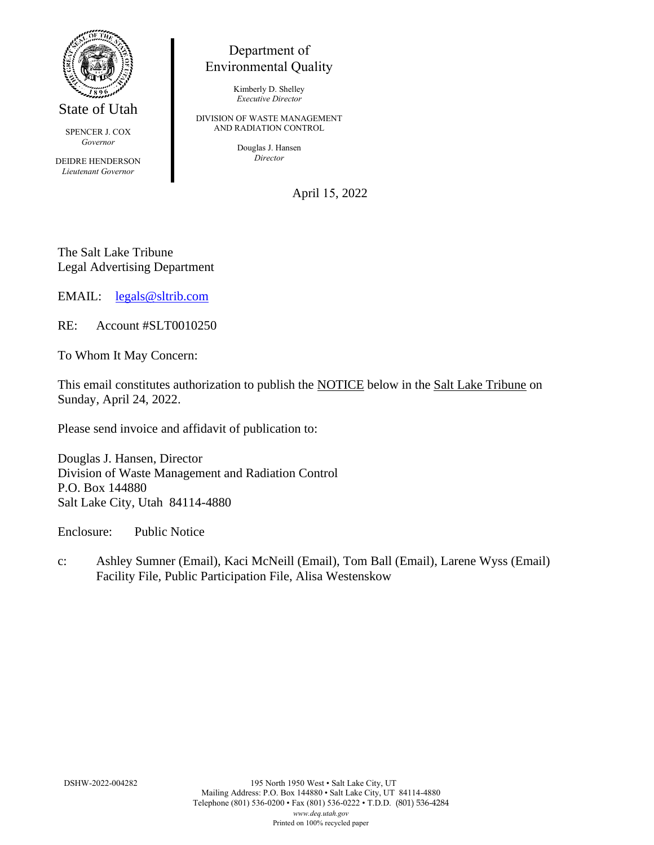

State of Utah

SPENCER J. COX *Governor*

DEIDRE HENDERSON *Lieutenant Governor*

## Department of Environmental Quality

Kimberly D. Shelley *Executive Director*

DIVISION OF WASTE MANAGEMENT AND RADIATION CONTROL

> Douglas J. Hansen *Director*

> > April 15, 2022

The Salt Lake Tribune Legal Advertising Department

EMAIL: [legals@sltrib.com](mailto:legals@sltrib.com)

RE: Account #SLT0010250

To Whom It May Concern:

This email constitutes authorization to publish the NOTICE below in the Salt Lake Tribune on Sunday, April 24, 2022.

Please send invoice and affidavit of publication to:

Douglas J. Hansen, Director Division of Waste Management and Radiation Control P.O. Box 144880 Salt Lake City, Utah 84114-4880

Enclosure: Public Notice

c: Ashley Sumner (Email), Kaci McNeill (Email), Tom Ball (Email), Larene Wyss (Email) Facility File, Public Participation File, Alisa Westenskow